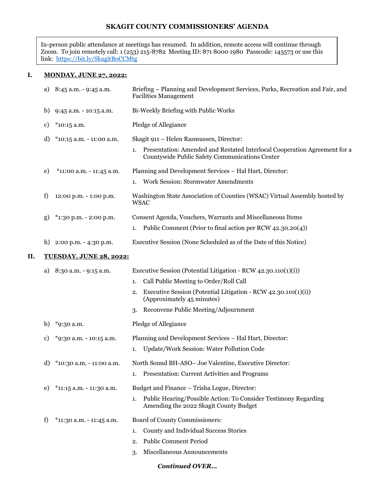# **SKAGIT COUNTY COMMISSIONERS' AGENDA**

In-person public attendance at meetings has resumed. In addition, remote access will continue through Zoom. To join remotely call: 1 (253) 215-8782 Meeting ID: 871 8000 1980 Passcode: 143573 or use this link: <u>https://bit.ly/SkagitBoCCMt</u>g

# **I. MONDAY, JUNE 27, 2022:**

|    | a) | 8:45 a.m. - 9:45 a.m.          | Briefing – Planning and Development Services, Parks, Recreation and Fair, and<br><b>Facilities Management</b>                     |
|----|----|--------------------------------|-----------------------------------------------------------------------------------------------------------------------------------|
|    | b) | 9:45 a.m. - 10:15 a.m.         | Bi-Weekly Briefing with Public Works                                                                                              |
|    | c) | $*$ 10:15 a.m.                 | Pledge of Allegiance                                                                                                              |
|    | d) | $*10:15$ a.m. - 11:00 a.m.     | Skagit 911 - Helen Rasmussen, Director:                                                                                           |
|    |    |                                | Presentation: Amended and Restated Interlocal Cooperation Agreement for a<br>1.<br>Countywide Public Safety Communications Center |
|    | e) | *11:00 a.m. - 11:45 a.m.       | Planning and Development Services - Hal Hart, Director:                                                                           |
|    |    |                                | <b>Work Session: Stormwater Amendments</b><br>1.                                                                                  |
|    | f) | 12:00 p.m. - 1:00 p.m.         | Washington State Association of Counties (WSAC) Virtual Assembly hosted by<br><b>WSAC</b>                                         |
|    | g) | *1:30 p.m. - 2:00 p.m.         | Consent Agenda, Vouchers, Warrants and Miscellaneous Items                                                                        |
|    |    |                                | Public Comment (Prior to final action per RCW 42.30.20(4))<br>1.                                                                  |
|    | h) | 2:00 p.m. - 4:30 p.m.          | Executive Session (None Scheduled as of the Date of this Notice)                                                                  |
| П. |    | <b>TUESDAY, JUNE 28, 2022:</b> |                                                                                                                                   |
|    | a) | 8:30 a.m. - 9:15 a.m.          | Executive Session (Potential Litigation - RCW 42.30.110(1)(i))                                                                    |
|    |    |                                | Call Public Meeting to Order/Roll Call<br>1.                                                                                      |
|    |    |                                | Executive Session (Potential Litigation - RCW 42.30.110(1)(i))<br>2.<br>(Approximately 45 minutes)                                |
|    |    |                                | Reconvene Public Meeting/Adjournment<br>3.                                                                                        |
|    | b) | *9:30 a.m.                     | Pledge of Allegiance                                                                                                              |
|    | c) | *9:30 a.m. - 10:15 a.m.        | Planning and Development Services - Hal Hart, Director:                                                                           |
|    |    |                                | Update/Work Session: Water Pollution Code<br>1.                                                                                   |
|    | d) | *10:30 a.m. - 11:00 a.m.       | North Sound BH-ASO- Joe Valentine, Executive Director:                                                                            |
|    |    |                                | Presentation: Current Activities and Programs<br>1.                                                                               |
|    | e) | *11:15 a.m. - 11:30 a.m.       | Budget and Finance - Trisha Logue, Director:                                                                                      |
|    |    |                                | Public Hearing/Possible Action: To Consider Testimony Regarding<br>1.<br>Amending the 2022 Skagit County Budget                   |
|    | f) | $*11:30$ a.m. - 11:45 a.m.     | Board of County Commissioners:                                                                                                    |
|    |    |                                | County and Individual Success Stories<br>1.                                                                                       |
|    |    |                                | <b>Public Comment Period</b><br>2.                                                                                                |
|    |    |                                | Miscellaneous Announcements<br>3.                                                                                                 |

# *Continued OVER…*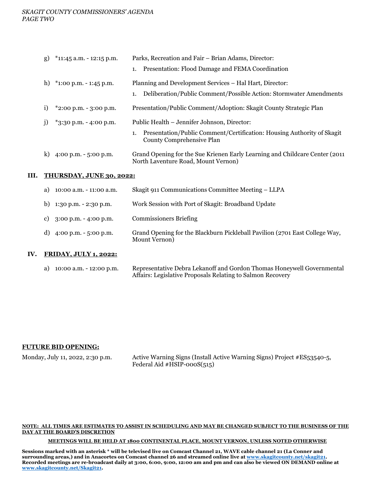#### *SKAGIT COUNTY COMMISSIONERS' AGENDA PAGE TWO*

| g)           | $*11:45$ a.m. - 12:15 p.m.               | Parks, Recreation and Fair - Brian Adams, Director:                                                                 |
|--------------|------------------------------------------|---------------------------------------------------------------------------------------------------------------------|
|              |                                          | 1. Presentation: Flood Damage and FEMA Coordination                                                                 |
| h)           | $*1:00 \text{ p.m.} - 1:45 \text{ p.m.}$ | Planning and Development Services – Hal Hart, Director:                                                             |
|              |                                          | Deliberation/Public Comment/Possible Action: Stormwater Amendments<br>1.                                            |
| 1)           | $*2:00$ p.m. - 3:00 p.m.                 | Presentation/Public Comment/Adoption: Skagit County Strategic Plan                                                  |
| $\mathbf{1}$ | $*3:30$ p.m. - 4:00 p.m.                 | Public Health – Jennifer Johnson, Director:                                                                         |
|              |                                          | Presentation/Public Comment/Certification: Housing Authority of Skagit<br>County Comprehensive Plan                 |
| k)           | 4:00 p.m. $-5:00$ p.m.                   | Grand Opening for the Sue Krienen Early Learning and Childcare Center (2011)<br>North Laventure Road, Mount Vernon) |

#### **III. THURSDAY, JUNE 30, 2022:**

| a) $10:00$ a.m. $-11:00$ a.m.              | Skagit 911 Communications Committee Meeting – LLPA                                           |
|--------------------------------------------|----------------------------------------------------------------------------------------------|
| b) $1:30 \text{ p.m.} - 2:30 \text{ p.m.}$ | Work Session with Port of Skagit: Broadband Update                                           |
| c) $3:00 \text{ p.m.} - 4:00 \text{ p.m.}$ | <b>Commissioners Briefing</b>                                                                |
| d) $4:00 \text{ p.m.} - 5:00 \text{ p.m.}$ | Grand Opening for the Blackburn Pickleball Pavilion (2701 East College Way,<br>Mount Vernon) |

#### **IV. FRIDAY, JULY 1, 2022:**

| a) $10:00$ a.m. $-12:00$ p.m. | Representative Debra Lekanoff and Gordon Thomas Honeywell Governmental |
|-------------------------------|------------------------------------------------------------------------|
|                               | Affairs: Legislative Proposals Relating to Salmon Recovery             |

# **FUTURE BID OPENING:**

Monday, July 11, 2022, 2:30 p.m. Active Warning Signs (Install Active Warning Signs) Project #ES53540-5, Federal Aid  $\#HSIP-000S(515)$ 

#### **NOTE: ALL TIMES ARE ESTIMATES TO ASSIST IN SCHEDULING AND MAY BE CHANGED SUBJECT TO THE BUSINESS OF THE DAY AT THE BOARD'S DISCRETION**

#### **MEETINGS WILL BE HELD AT 1800 CONTINENTAL PLACE, MOUNT VERNON, UNLESS NOTED OTHERWISE**

**Sessions marked with an asterisk \* will be televised live on Comcast Channel 21, WAVE cable channel 21 (La Conner and surrounding areas,) and in Anacortes on Comcast channel 26 and streamed online live at [www.skagitcounty.net/skagit21.](http://www.skagitcounty.net/skagit21) Recorded meetings are re-broadcast daily at 3:00, 6:00, 9:00, 12:00 am and pm and can also be viewed ON DEMAND online at [www.skagitcounty.net/Skagit21.](http://www.skagitcounty.net/Skagit21)**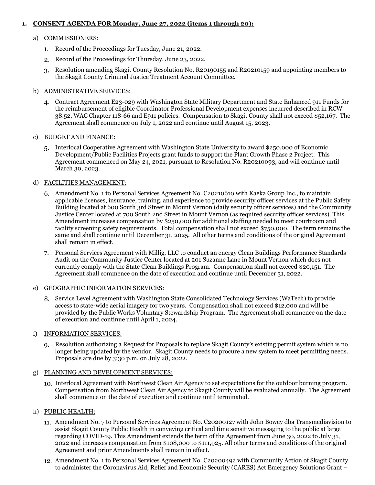# **1. CONSENT AGENDA FOR Monday, June 27, 2022 (items 1 through 20):**

### a) COMMISSIONERS:

- 1. Record of the Proceedings for Tuesday, June 21, 2022.
- 2. Record of the Proceedings for Thursday, June 23, 2022.
- Resolution amending Skagit County Resolution No. R20190155 and R20210159 and appointing members to the Skagit County Criminal Justice Treatment Account Committee.

### b) ADMINISTRATIVE SERVICES:

Contract Agreement E23-029 with Washington State Military Department and State Enhanced 911 Funds for the reimbursement of eligible Coordinator Professional Development expenses incurred described in RCW 38.52, WAC Chapter 118-66 and E911 policies. Compensation to Skagit County shall not exceed \$52,167. The Agreement shall commence on July 1, 2022 and continue until August 15, 2023.

### c) BUDGET AND FINANCE:

Interlocal Cooperative Agreement with Washington State University to award \$250,000 of Economic Development/Public Facilities Projects grant funds to support the Plant Growth Phase 2 Project. This Agreement commenced on May 24, 2021, pursuant to Resolution No. R20210093, and will continue until March 30, 2023.

### d) FACILITIES MANAGEMENT:

- Amendment No. 1 to Personal Services Agreement No. C20210610 with Kaeka Group Inc., to maintain applicable licenses, insurance, training, and experience to provide security officer services at the Public Safety Building located at 600 South 3rd Street in Mount Vernon (daily security officer services) and the Community Justice Center located at 700 South 2nd Street in Mount Vernon (as required security officer services). This Amendment increases compensation by \$250,000 for additional staffing needed to meet courtroom and facility screening safety requirements. Total compensation shall not exceed \$750,000. The term remains the same and shall continue until December 31, 2025. All other terms and conditions of the original Agreement shall remain in effect.
- Personal Services Agreement with Millig, LLC to conduct an energy Clean Buildings Performance Standards Audit on the Community Justice Center located at 201 Suzanne Lane in Mount Vernon which does not currently comply with the State Clean Buildings Program. Compensation shall not exceed \$20,151. The Agreement shall commence on the date of execution and continue until December 31, 2022.

#### e) GEOGRAPHIC INFORMATION SERVICES:

Service Level Agreement with Washington State Consolidated Technology Services (WaTech) to provide access to state-wide aerial imagery for two years. Compensation shall not exceed \$12,000 and will be provided by the Public Works Voluntary Stewardship Program. The Agreement shall commence on the date of execution and continue until April 1, 2024.

#### f) INFORMATION SERVICES:

Resolution authorizing a Request for Proposals to replace Skagit County's existing permit system which is no longer being updated by the vendor. Skagit County needs to procure a new system to meet permitting needs. Proposals are due by 3:30 p.m. on July 28, 2022.

#### g) PLANNING AND DEVELOPMENT SERVICES:

Interlocal Agreement with Northwest Clean Air Agency to set expectations for the outdoor burning program. Compensation from Northwest Clean Air Agency to Skagit County will be evaluated annually. The Agreement shall commence on the date of execution and continue until terminated.

# h) PUBLIC HEALTH:

- Amendment No. 7 to Personal Services Agreement No. C20200127 with John Bowey dba Transmediavision to assist Skagit County Public Health in conveying critical and time sensitive messaging to the public at large regarding COVID-19. This Amendment extends the term of the Agreement from June 30, 2022 to July 31, 2022 and increases compensation from \$108,000 to \$111,925. All other terms and conditions of the original Agreement and prior Amendments shall remain in effect.
- Amendment No. 1 to Personal Services Agreement No. C20200492 with Community Action of Skagit County to administer the Coronavirus Aid, Relief and Economic Security (CARES) Act Emergency Solutions Grant –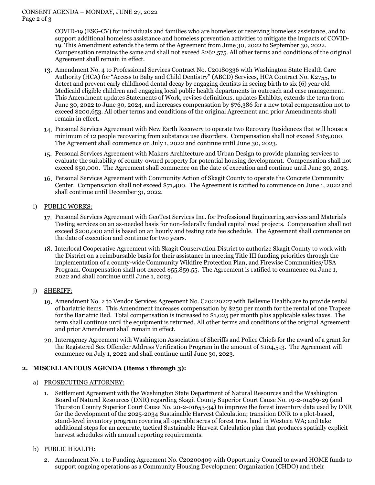COVID-19 (ESG-CV) for individuals and families who are homeless or receiving homeless assistance, and to support additional homeless assistance and homeless prevention activities to mitigate the impacts of COVID-19. This Amendment extends the term of the Agreement from June 30, 2022 to September 30, 2022. Compensation remains the same and shall not exceed \$262,575. All other terms and conditions of the original Agreement shall remain in effect.

- Amendment No. 4 to Professional Services Contract No. C20180336 with Washington State Health Care Authority (HCA) for "Access to Baby and Child Dentistry" (ABCD) Services, HCA Contract No. K2755, to detect and prevent early childhood dental decay by engaging dentists in seeing birth to six (6) year old Medicaid eligible children and engaging local public health departments in outreach and case management. This Amendment updates Statements of Work, revises definitions, updates Exhibits, extends the term from June 30, 2022 to June 30, 2024, and increases compensation by \$76,386 for a new total compensation not to exceed \$200,653. All other terms and conditions of the original Agreement and prior Amendments shall remain in effect.
- Personal Services Agreement with New Earth Recovery to operate two Recovery Residences that will house a minimum of 12 people recovering from substance use disorders. Compensation shall not exceed \$165,000. The Agreement shall commence on July 1, 2022 and continue until June 30, 2023.
- Personal Services Agreement with Makers Architecture and Urban Design to provide planning services to evaluate the suitability of county-owned property for potential housing development. Compensation shall not exceed \$50,000. The Agreement shall commence on the date of execution and continue until June 30, 2023.
- 16. Personal Services Agreement with Community Action of Skagit County to operate the Concrete Community Center. Compensation shall not exceed \$71,400. The Agreement is ratified to commence on June 1, 2022 and shall continue until December 31, 2022.
- i) PUBLIC WORKS:
	- Personal Services Agreement with GeoTest Services Inc. for Professional Engineering services and Materials Testing services on an as-needed basis for non-federally funded capital road projects. Compensation shall not exceed \$200,000 and is based on an hourly and testing rate fee schedule. The Agreement shall commence on the date of execution and continue for two years.
	- 18. Interlocal Cooperative Agreement with Skagit Conservation District to authorize Skagit County to work with the District on a reimbursable basis for their assistance in meeting Title III funding priorities through the implementation of a county-wide Community Wildfire Protection Plan, and Firewise Communities/USA Program. Compensation shall not exceed \$55,859.55. The Agreement is ratified to commence on June 1, 2022 and shall continue until June 1, 2023.
- j) SHERIFF:
	- Amendment No. 2 to Vendor Services Agreement No. C20220227 with Bellevue Healthcare to provide rental of bariatric items. This Amendment increases compensation by \$250 per month for the rental of one Trapeze for the Bariatric Bed. Total compensation is increased to \$1,025 per month plus applicable sales taxes. The term shall continue until the equipment is returned. All other terms and conditions of the original Agreement and prior Amendment shall remain in effect.
	- 20. Interagency Agreement with Washington Association of Sheriffs and Police Chiefs for the award of a grant for the Registered Sex Offender Address Verification Program in the amount of \$104,513. The Agreement will commence on July 1, 2022 and shall continue until June 30, 2023.

# **2. MISCELLANEOUS AGENDA (Items 1 through 3):**

# a) PROSECUTING ATTORNEY:

- 1. Settlement Agreement with the Washington State Department of Natural Resources and the Washington Board of Natural Resources (DNR) regarding Skagit County Superior Court Cause No. 19-2-01469-29 (and Thurston County Superior Court Cause No. 20-2-01653-34) to improve the forest inventory data used by DNR for the development of the 2025-2034 Sustainable Harvest Calculation; transition DNR to a plot-based, stand-level inventory program covering all operable acres of forest trust land in Western WA; and take additional steps for an accurate, tactical Sustainable Harvest Calculation plan that produces spatially explicit harvest schedules with annual reporting requirements.
- b) PUBLIC HEALTH:
	- 2. Amendment No. 1 to Funding Agreement No. C20200409 with Opportunity Council to award HOME funds to support ongoing operations as a Community Housing Development Organization (CHDO) and their